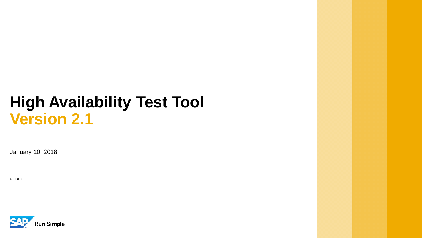January 10, 2018

PUBLIC

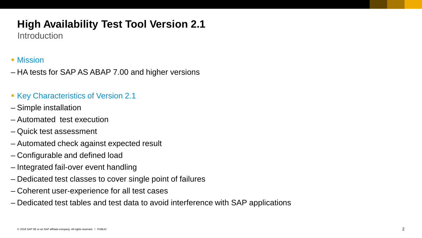**Introduction** 

### ■ Mission

– HA tests for SAP AS ABAP 7.00 and higher versions

### ■ Key Characteristics of Version 2.1

- Simple installation
- Automated test execution
- Quick test assessment
- Automated check against expected result
- Configurable and defined load
- Integrated fail-over event handling
- Dedicated test classes to cover single point of failures
- Coherent user-experience for all test cases
- Dedicated test tables and test data to avoid interference with SAP applications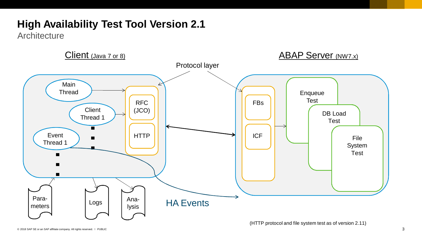**Architecture** 

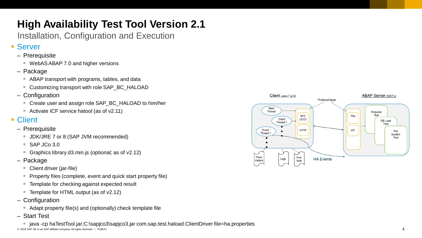Installation, Configuration and Execution

### ■ Server

- Prerequisite
	- WebAS ABAP 7.0 and higher versions
- Package
	- ABAP transport with programs, tables, and data
	- □ Customizing transport with role SAP\_BC\_HALOAD
- Configuration
	- □ Create user and assign role SAP\_BC\_HALOAD to him/her
	- Activate ICF service hatool (as of v2.11)

### ■ Client

- Prerequisite
	- JDK/JRE 7 or 8 (SAP JVM recommended)
	- SAP JCo 3.0
	- Graphics library d3.min.js (optional; as of v2.12)
- Package
	- Client driver (jar-file)
	- □ Property files (complete, event and quick start property file)
	- Template for checking against expected result
	- Template for HTML output (as of v2.12)
- Configuration
	- □ Adapt property file(s) and (optionally) check template file
- Start Test

© 2018 SAP SE or an SAP affiliate company. All rights reserved. ǀ PUBLIC ▫ java -cp haTestTool.jar;C:\sapjco3\sapjco3.jar com.sap.test.haload.ClientDriver file=ha.properties

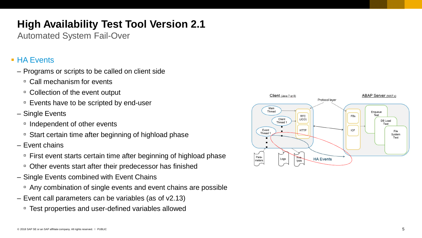Automated System Fail-Over

### ■ HA Events

- Programs or scripts to be called on client side
	- □ Call mechanism for events
	- Collection of the event output
	- Events have to be scripted by end-user
- Single Events
	- Independent of other events
	- Start certain time after beginning of highload phase
- Event chains
	- □ First event starts certain time after beginning of highload phase
	- Other events start after their predecessor has finished
- Single Events combined with Event Chains
	- Any combination of single events and event chains are possible
- Event call parameters can be variables (as of v2.13)
	- Test properties and user-defined variables allowed

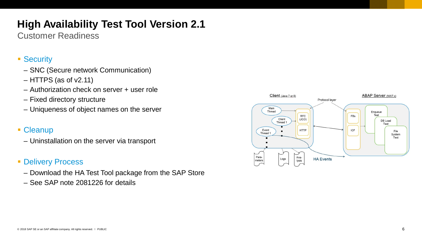Customer Readiness

### ■ Security

- SNC (Secure network Communication)
- HTTPS (as of v2.11)
- Authorization check on server + user role
- Fixed directory structure
- Uniqueness of object names on the server

### • Cleanup

– Uninstallation on the server via transport

### **• Delivery Process**

- Download the HA Test Tool package from the SAP Store
- See SAP note 2081226 for details

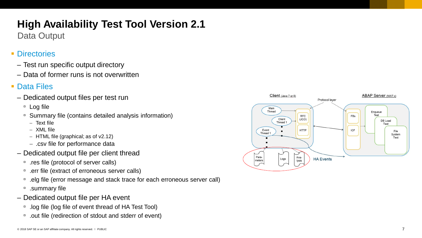Data Output

## ■ Directories

- Test run specific output directory
- Data of former runs is not overwritten

## ■ Data Files

- Dedicated output files per test run
	- □ Log file
	- Summary file (contains detailed analysis information)
		- Text file
		- XML file
		- HTML file (graphical; as of v2.12)
		- .csv file for performance data
- Dedicated output file per client thread
	- .res file (protocol of server calls)
	- □ .err file (extract of erroneous server calls)
	- □ .elg file (error message and stack trace for each erroneous server call)
	- .summary file
- Dedicated output file per HA event
	- .log file (log file of event thread of HA Test Tool)
	- □ .out file (redirection of stdout and stderr of event)

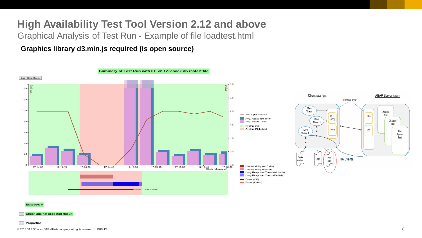## **High Availability Test Tool Version 2.12 and above**

Graphical Analysis of Test Run - Example of file loadtest.html

**Graphics library d3.min.js required (is open source)**



#### Exitcode: 0

- Check against expected Result

#### $+$  Properties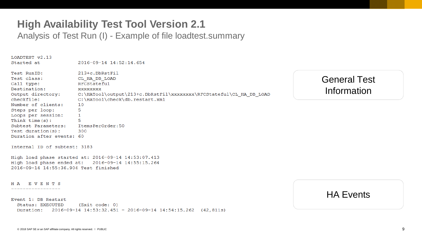Analysis of Test Run (I) - Example of file loadtest.summary

LOADTEST v2.13 Started at  $2016 - 09 - 14$  14:52:14.654 213+c.DbRstFil Test RunID: Test class: CL HA DB LOAD RFCStateful Call type: Destination: XXXXXXXX Output directory: C:\HATool\output\213+c.DbRstFil\xxxxxxxx\RFCStateful\CL HA DB LOAD checkfile: C:\HATool\check\db.restart.xml Number of clients: 10 Steps per loop: 5 Loops per session:  $\mathbf{1}$ Think  $time(s)$ : 5 Subtest Parameters: ItemsPerOrder:50  $Test duration(s):$ 300 Duration after events: 60 Internal ID of subtest: 3183 High load phase started at: 2016-09-14 14:53:07.413

High load phase ended at: 2016-09-14 14:55:15.264 2016-09-14 14:55:36.904 Test finished

HA EVENTS -----------------

Event 1: DB Restart

Status: EXECUTED  $(Exit code: 0)$ Duration: 2016-09-14 14:53:32.451 - 2016-09-14 14:54:15.262 (42,811s) General Test Information

### HA Events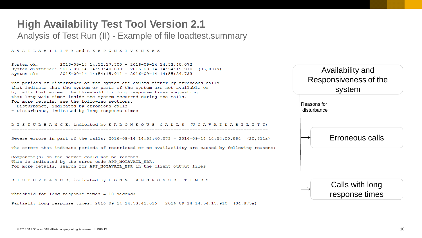## **High Availability Test Tool Version 2.1** Analysis of Test Run (II) - Example of file loadtest.summary

#### AVAILABILITY and RESPONSIVENESS

 $2016-09-14$  14:52:17.500 - 2016-09-14 14:53:40.072 System ok: System disturbed: 2016-09-14 14:53:40.073 - 2016-09-14 14:54:15.910 (35,837s) System ok:  $2016 - 09 - 14$  14:54:15.911 - 2016-09-14 14:55:34.733

The periods of disturbance of the system are caused either by erroneous calls that indicate that the system or parts of the system are not available or by calls that exceed the threshold for long response times suggesting that long wait times inside the system occurred during the calls. For more details, see the following sections: - Disturbance, indicated by erroneous calls

- Disturbance, indicated by long response times

#### DISTURBANCE, indicated by ERRONEOUS CALLS (UNAVAILABILIT

Severe errors in part of the calls: 2016-09-14 14:53:40.073 - 2016-09-14 14:54:00.884 (20.81)

The errors that indicate periods of restricted or no availability are caused by following rea

Component (s) on the server could not be reached. This is indicated by the error code APP NOTAVAIL ERR. For more details, search for APP NOTAVAIL ERR in the client output files

DISTURBANCE, indicated by LONG RESPONSE TIMES 

Threshold for long response times  $= 10$  seconds

Partially long response times: 2016-09-14 14:53:41.035 - 2016-09-14 14:54:15.910 (34,875s)

|                    | Availability and<br>Responsiveness of the<br>system |
|--------------------|-----------------------------------------------------|
|                    | Reasons for<br>disturbance                          |
| Y)<br>1s)<br>sons: | Erroneous calls                                     |
|                    | Calls with long<br>response times                   |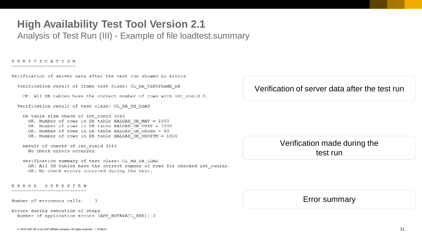Analysis of Test Run (III) - Example of file loadtest.summary

#### **VERIFICATION** \_\_\_\_\_\_\_\_\_\_\_\_\_\_\_\_\_\_\_\_\_

Verification of server data after the test run showed no errors

Verification result of frame test class: CL\_HA\_TESTFRAME\_DB

OK: All DB tables have the correct number of rows with int runid 0.

Verification result of test class: CL\_HA\_DB\_LOAD

DB table size check of int runid 3183 OK. Number of rows in DB table HALOAD DB MAT = 1000 OK. Number of rows in DB table HALOAD DB CUST = 1000 OK. Number of rows in DB table HALOAD DB ORDER = 60 OK. Number of rows in DB table HALOAD DB ORDITM = 1500

Result of checks of int runid 3183 No check errors occurred

Verification summary of test class: CL HA DB LOAD OK: All DB tables have the correct number of rows for checked int runids. OK: No check errors occurred during the test.

ERROR OVERVIEW

Number of erroneous calls: -3

Errors during execution of steps Number of application errors (APP NOTAVAIL ERR): 3

### Verification of server data after the test run

### Verification made during the test run

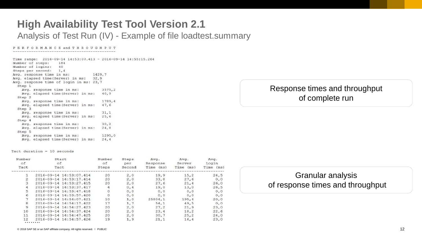## **High Availability Test Tool Version 2.1** Analysis of Test Run (IV) - Example of file loadtest.summary

#### PERFORMANCE and THROUGHPUT

Time range: 2016-09-14 14:53:07.413 - 2016-09-14 14:55:15.264 Number of steps: 184 Number of logins: 40 Steps per second: 1,4 1429,7 Avg. response time in ms: Avg. elapsed time (Server) in ms: 32,9 Avg. response time of login in ms: 23,7 Step 1 Avg. response time in ms: 3575.2 Avg. elapsed time (Server) in ms: 40,9 Step 2 Avg. response time in ms: 1789,4 Avg. elapsed time (Server) in ms: 47,6 Step 3 Avg. response time in ms:  $31,1$ Avg. elapsed time (Server) in ms: 25,6 Step 4  $30, 2$ Avg. response time in ms: Avg. elapsed time (Server) in ms: 24,8 Step 5 Avg. response time in ms: 1295,0 Avg. elapsed time (Server) in ms: 24,4

Tact duration =  $10$  seconds

| Number<br>оf<br>Tact | Start<br>of<br>Tact     | Number<br>of<br>Steps | Steps<br>per<br>Second | Avg.<br>Response<br>Time<br>(ms) | Avg.<br>Server<br>Time<br>(ms) | Avg.<br>Login<br>Time<br>(ms) |
|----------------------|-------------------------|-----------------------|------------------------|----------------------------------|--------------------------------|-------------------------------|
|                      | 2016-09-14 14:53:07.414 | 20                    | 2,0                    | 19,9                             | 15, 2                          | 24,5                          |
| 2                    | 2016-09-14 14:53:17.414 | 20                    | 2,0                    | 33,8                             | 27,6                           | 0, 0                          |
| з                    | 2016-09-14 14:53:27.415 | 20                    | 2,0                    | 27,6                             | 21, 4                          | 26,0                          |
| 4                    | 2016-09-14 14:53:37.417 |                       | 0,4                    | 19,0                             | 13,0                           | 26,5                          |
| 5                    | 2016-09-14 14:53:47.418 |                       | 0, 0                   | 0, 0                             | 0, 0                           | 0, 0                          |
| 6                    | 2016-09-14 14:53:57.420 | 0                     | 0, 0                   | 0, 0                             | 0, 0                           | 0, 0                          |
|                      | 2016-09-14 14:54:07.421 | 10                    | 1,0                    | 25804,1                          | 195,4                          | 20,0                          |
| 8                    | 2016-09-14 14:54:17.422 | 17                    | 1,7                    | 54,1                             | 49,5                           | 0, 0                          |
| $\overline{9}$       | 2016-09-14 14:54:27.423 | 20                    | 2,0                    | 27, 2                            | 21, 9                          | 23,0                          |
| 10                   | 2016-09-14 14:54:37.424 | 20                    | 2,0                    | 23, 4                            | 18,2                           | 22,6                          |
| 11                   | 2016-09-14 14:54:47.425 | 20                    | 2,0                    | 30,7                             | 25, 2                          | 24,0                          |
| 12                   | 2016-09-14 14:54:57.426 | 19                    | 1,9                    | 21,1                             | 16, 4                          | 23,0                          |
|                      |                         |                       |                        |                                  |                                |                               |

### Response times and throughput of complete run

Granular analysis of response times and throughput